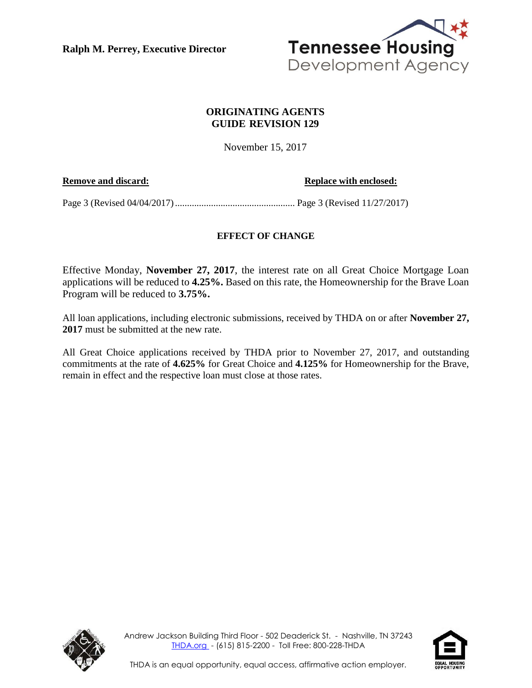**Ralph M. Perrey, Executive Director**



# **ORIGINATING AGENTS GUIDE REVISION 129**

November 15, 2017

### **Remove and discard: Replace with enclosed:**

Page 3 (Revised 04/04/2017).................................................. Page 3 (Revised 11/27/2017)

# **EFFECT OF CHANGE**

Effective Monday, **November 27, 2017**, the interest rate on all Great Choice Mortgage Loan applications will be reduced to **4.25%.** Based on this rate, the Homeownership for the Brave Loan Program will be reduced to **3.75%.**

All loan applications, including electronic submissions, received by THDA on or after **November 27, 2017** must be submitted at the new rate.

All Great Choice applications received by THDA prior to November 27, 2017, and outstanding commitments at the rate of **4.625%** for Great Choice and **4.125%** for Homeownership for the Brave, remain in effect and the respective loan must close at those rates.